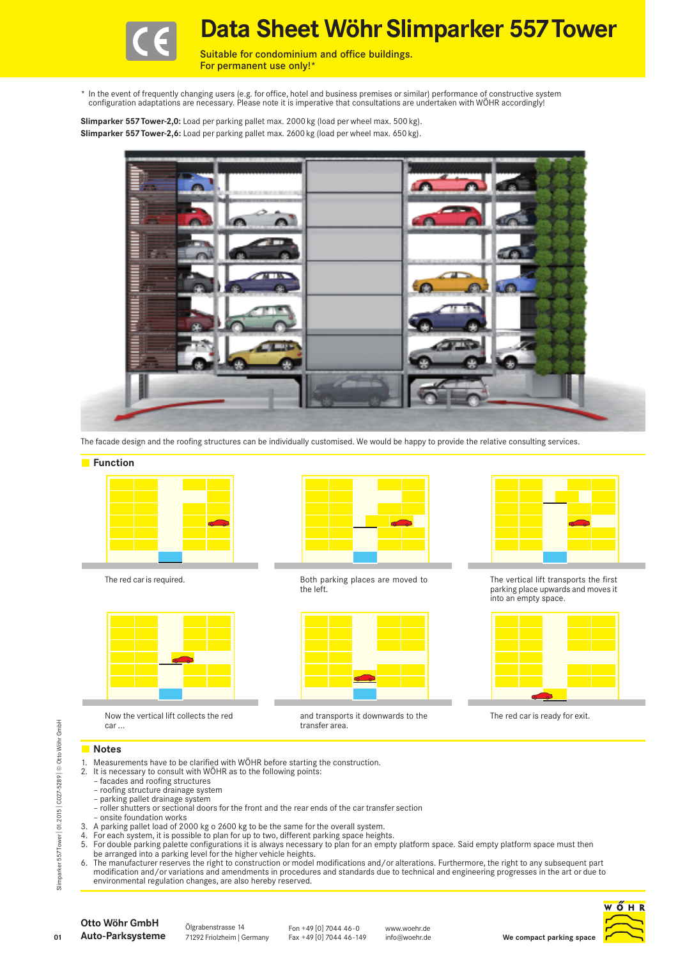

**Data Sheet WöhrSlimparker 557Tower**

Suitable for condominium and office buildings. For permanent use only!\*

\* In the event of frequently changing users (e.g. for office, hotel and business premises or similar) performance of constructive system<br>!configuration adaptations are necessary. Please note it is imperative that consultat

**Slimparker 557Tower-2,0:** Load per parking pallet max. 2000 kg (load per wheel max. 500 kg). **Slimparker 557Tower-2,6:** Load per parking pallet max. 2600 kg (load per wheel max. 650 kg).



The facade design and the roofing structures can be individually customised. We would be happy to provide the relative consulting services.

#### **Function**





Now the vertical lift collects the red car ...



The red car is required. The red car is required. the left.



and transports it downwards to the transfer area.



The vertical lift transports the first parking place upwards and moves it into an empty space.



The red car is ready for exit.

### **Notes**

- 1. Measurements have to be clarified with WÖHR before starting the construction.
- 2. It is necessary to consult with WÖHR as to the following points:
	- facades and roofing structures
	- roofing structure drainage system
	- parking pallet drainage system
	- roller shutters or sectional doors for the front and the rear ends of the car transfer section
- onsite foundation works 3. A parking pallet load of 2000 kg o 2600 kg to be the same for the overall system.
- 4. For each system, it is possible to plan for up to two, different parking space heights.
- 5. For double parking palette configurations it is always necessary to plan for an empty platform space. Said empty platform space must then
- be arranged into a parking level for the higher vehicle heights.
- 6. The manufacturer reserves the right to construction or model modifications and/or alterations. Furthermore, the right to any subsequent part modification and/or variations and amendments in procedures and standards due to technical and engineering progresses in the art or due to<br>environmental regulation changes, are also hereby reserved. Fraction changes are also hereby reserved.<br>
Fraction consult with WÖHR before starting 2. It is necessary to consult with WÖHR as to the following poin<br>  $\frac{1}{20}$  - facades and roofing structures<br>  $\frac{1}{20}$  - parking pa



**01**

Ölgrabenstrasse 14

Fon +49 [0] 7044 46-0 Fax +49 [0] 7044 46-149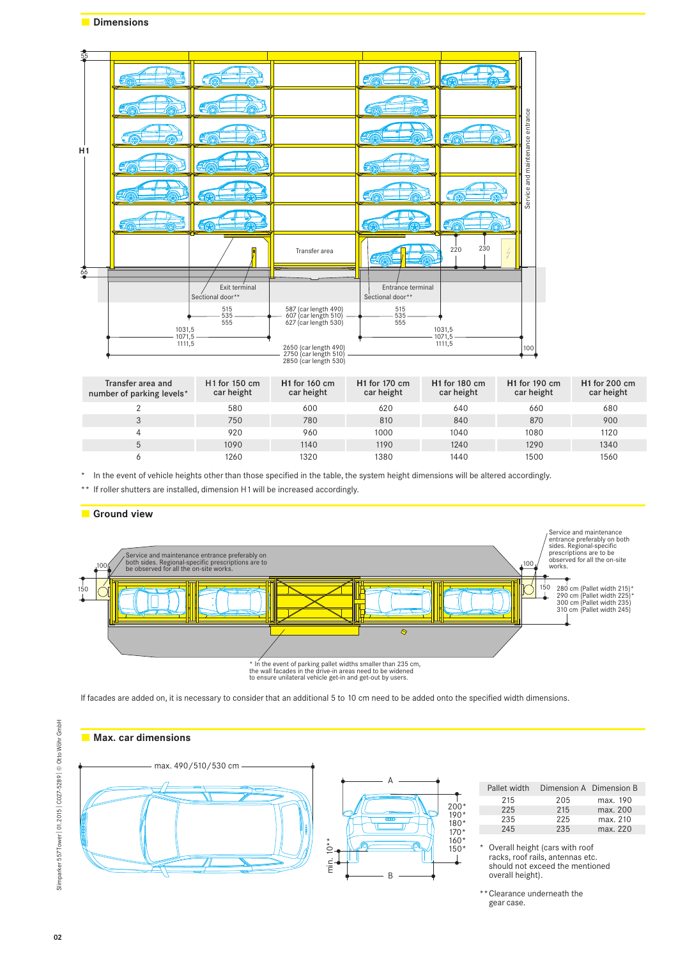| $rac{55}{25}$ |                  |                                   |                                                                         |                                       |                  |                                  |
|---------------|------------------|-----------------------------------|-------------------------------------------------------------------------|---------------------------------------|------------------|----------------------------------|
|               |                  |                                   |                                                                         | eq                                    | ÉQ               |                                  |
| H1            | U.               | -100                              |                                                                         |                                       |                  |                                  |
|               |                  | e (r                              |                                                                         |                                       | <b>HIG</b>       |                                  |
|               | eq               |                                   |                                                                         | Б                                     |                  | Service and maintenance entrance |
|               |                  |                                   |                                                                         | Ç                                     |                  |                                  |
|               | 376              | EQ                                |                                                                         | EQ                                    | E40              |                                  |
|               |                  |                                   | Transfer area                                                           |                                       | 230<br>220<br>И  |                                  |
| 66            |                  |                                   |                                                                         |                                       |                  |                                  |
|               |                  | Exit terminal<br>Sectional door** |                                                                         | Entrance terminal<br>Sectional door** |                  |                                  |
|               | 1031,5           | 515<br>535<br>555                 | 587 (car length 490)<br>607 (car length 510)<br>627 (car length 530)    | 515<br>535<br>555                     | 1031,5<br>1071,5 |                                  |
|               | 1071,5<br>1111,5 |                                   | 2650 (car length 490)<br>2750 (car length 510)<br>2850 (car length 530) |                                       | 1111,5           | 100                              |

| Transfer area and<br>number of parking levels* | $H1$ for 150 cm<br>car height | <b>H1</b> for 160 cm<br>car height | <b>H1</b> for 170 cm<br>car height | $H1$ for 180 cm<br>car height | $H1$ for 190 cm<br>car height | $H1$ for 200 cm<br>car height |
|------------------------------------------------|-------------------------------|------------------------------------|------------------------------------|-------------------------------|-------------------------------|-------------------------------|
|                                                | 580                           | 600                                | 620                                | 640                           | 660                           | 680                           |
|                                                | 750                           | 780                                | 810                                | 840                           | 870                           | 900                           |
|                                                | 920                           | 960                                | 1000                               | 1040                          | 1080                          | 1120                          |
|                                                | 1090                          | 1140                               | 1190                               | 1240                          | 1290                          | 1340                          |
|                                                | 1260                          | 1320                               | 1380                               | 1440                          | 1500                          | 1560                          |

\* In the event of vehicle heights other than those specified in the table, the system height dimensions will be altered accordingly.

\*\* If roller shutters are installed, dimension H1 will be increased accordingly.



If facades are added on, it is necessary to consider that an additional 5 to 10 cm need to be added onto the specified width dimensions.



<sup>\*\*</sup> Clearance underneath the gear case.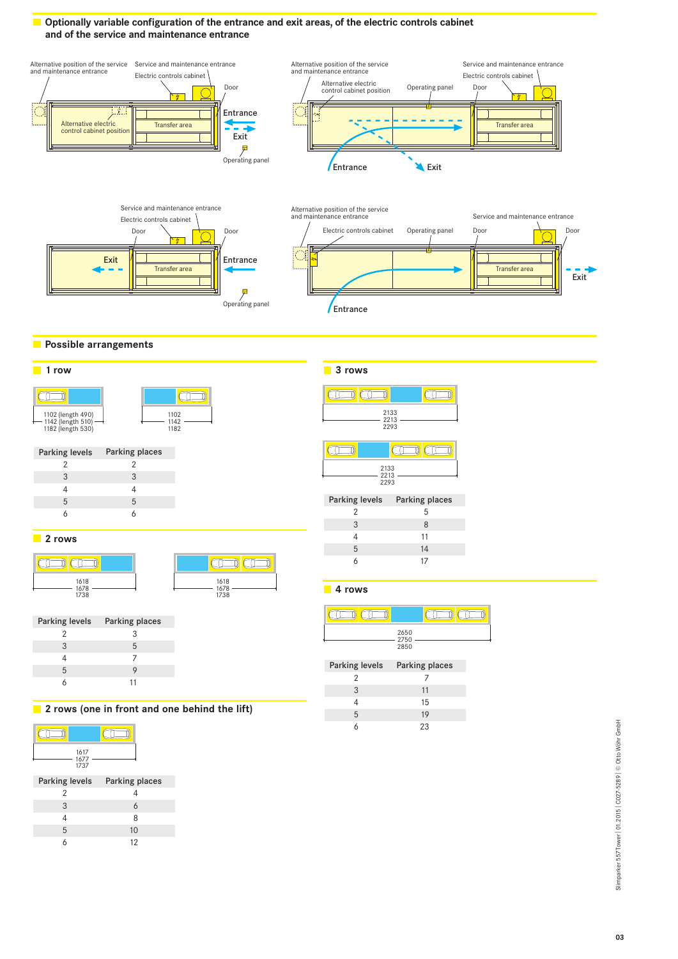## **Optionally variable configuration of the entrance and exit areas, of the electric controls cabinet and of the service and maintenance entrance**







 $\Box$ 

## **Possible arrangements**



| 2133<br>2213<br>2293 |                               |  |
|----------------------|-------------------------------|--|
|                      |                               |  |
| 2133<br>2213<br>2293 |                               |  |
|                      | Parking levels Parking places |  |
| 2                    | 5                             |  |
| 3                    | 8                             |  |
| 4                    | 11                            |  |
| 5                    | 14                            |  |
| 6                    | 17                            |  |

# 1 **rows**

| 1618<br>1678<br>1738 |  |
|----------------------|--|



|   | Parking levels Parking places |
|---|-------------------------------|
|   | 3                             |
| 3 | 5                             |
|   |                               |
| 5 |                               |
|   |                               |

**rows (one in front and one behind the lift)**



| 3 | 6  |
|---|----|
| 4 | 8  |
| 5 | 10 |
| 6 | 12 |
|   |    |

**rows**

**rows**

 $\Box$ 

|                               | 2650<br>2750<br>2850 |
|-------------------------------|----------------------|
| Parking levels Parking places |                      |
| 2                             |                      |
| 3                             | 11                   |
| $\overline{4}$                | 15                   |
| 5                             | 19                   |
|                               | 23                   |